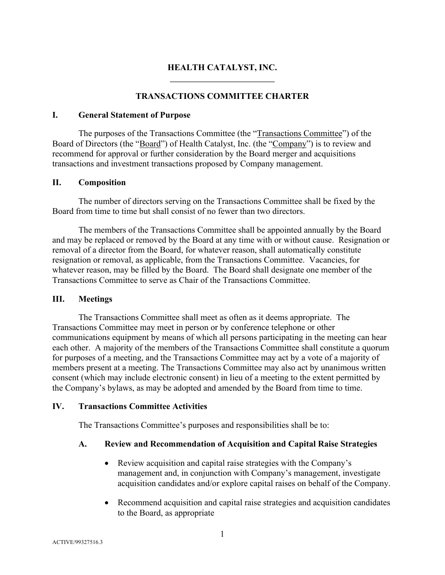# **HEALTH CATALYST, INC.**

## **TRANSACTIONS COMMITTEE CHARTER**

#### **I. General Statement of Purpose**

The purposes of the Transactions Committee (the "Transactions Committee") of the Board of Directors (the "Board") of Health Catalyst, Inc. (the "Company") is to review and recommend for approval or further consideration by the Board merger and acquisitions transactions and investment transactions proposed by Company management.

#### **II. Composition**

The number of directors serving on the Transactions Committee shall be fixed by the Board from time to time but shall consist of no fewer than two directors.

The members of the Transactions Committee shall be appointed annually by the Board and may be replaced or removed by the Board at any time with or without cause. Resignation or removal of a director from the Board, for whatever reason, shall automatically constitute resignation or removal, as applicable, from the Transactions Committee. Vacancies, for whatever reason, may be filled by the Board. The Board shall designate one member of the Transactions Committee to serve as Chair of the Transactions Committee.

#### **III. Meetings**

The Transactions Committee shall meet as often as it deems appropriate. The Transactions Committee may meet in person or by conference telephone or other communications equipment by means of which all persons participating in the meeting can hear each other. A majority of the members of the Transactions Committee shall constitute a quorum for purposes of a meeting, and the Transactions Committee may act by a vote of a majority of members present at a meeting. The Transactions Committee may also act by unanimous written consent (which may include electronic consent) in lieu of a meeting to the extent permitted by the Company's bylaws, as may be adopted and amended by the Board from time to time.

#### **IV. Transactions Committee Activities**

The Transactions Committee's purposes and responsibilities shall be to:

#### **A. Review and Recommendation of Acquisition and Capital Raise Strategies**

- Review acquisition and capital raise strategies with the Company's management and, in conjunction with Company's management, investigate acquisition candidates and/or explore capital raises on behalf of the Company.
- Recommend acquisition and capital raise strategies and acquisition candidates to the Board, as appropriate